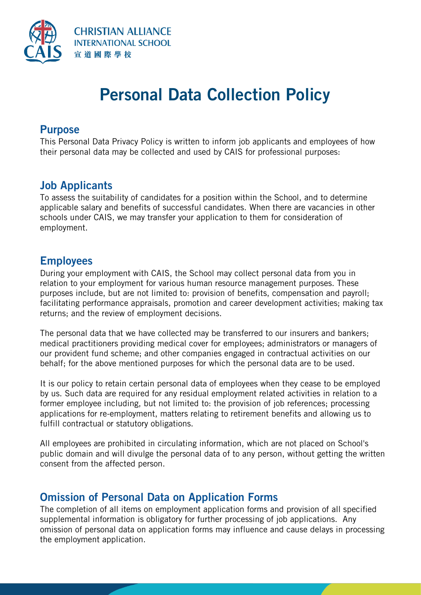

# **Personal Data Collection Policy**

#### **Purpose**

This Personal Data Privacy Policy is written to inform job applicants and employees of how their personal data may be collected and used by CAIS for professional purposes:

#### **Job Applicants**

To assess the suitability of candidates for a position within the School, and to determine applicable salary and benefits of successful candidates. When there are vacancies in other schools under CAIS, we may transfer your application to them for consideration of employment.

#### **Employees**

During your employment with CAIS, the School may collect personal data from you in relation to your employment for various human resource management purposes. These purposes include, but are not limited to: provision of benefits, compensation and payroll; facilitating performance appraisals, promotion and career development activities; making tax returns; and the review of employment decisions.

The personal data that we have collected may be transferred to our insurers and bankers; medical practitioners providing medical cover for employees; administrators or managers of our provident fund scheme; and other companies engaged in contractual activities on our behalf; for the above mentioned purposes for which the personal data are to be used.

It is our policy to retain certain personal data of employees when they cease to be employed by us. Such data are required for any residual employment related activities in relation to a former employee including, but not limited to: the provision of job references; processing applications for re-employment, matters relating to retirement benefits and allowing us to fulfill contractual or statutory obligations.

All employees are prohibited in circulating information, which are not placed on School's public domain and will divulge the personal data of to any person, without getting the written consent from the affected person.

#### **Omission of Personal Data on Application Forms**

The completion of all items on employment application forms and provision of all specified supplemental information is obligatory for further processing of job applications. Any omission of personal data on application forms may influence and cause delays in processing the employment application.